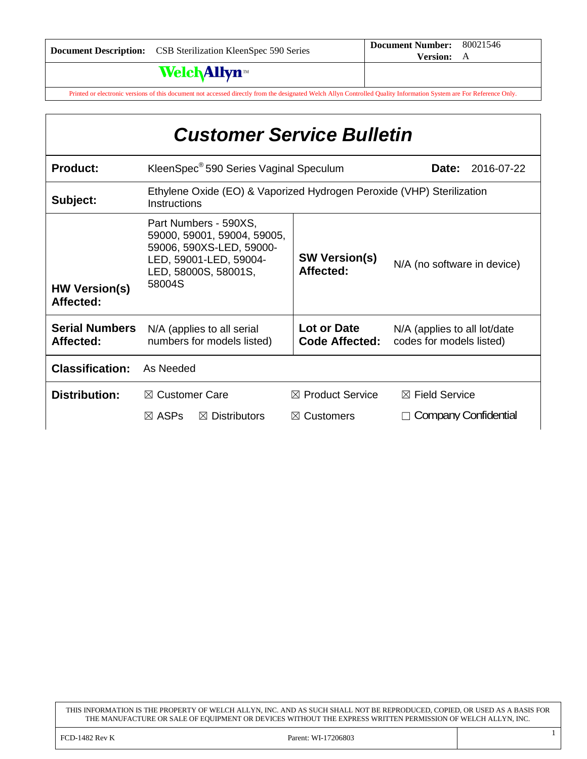# **Welch Allyn**

Printed or electronic versions of this document not accessed directly from the designated Welch Allyn Controlled Quality Information System are For Reference Only.

| <b>Customer Service Bulletin</b>   |                                                                                                                                              |                                                      |                                                          |  |  |  |
|------------------------------------|----------------------------------------------------------------------------------------------------------------------------------------------|------------------------------------------------------|----------------------------------------------------------|--|--|--|
| <b>Product:</b>                    | KleenSpec <sup>®</sup> 590 Series Vaginal Speculum<br>2016-07-22<br>Date:                                                                    |                                                      |                                                          |  |  |  |
| Subject:                           | Ethylene Oxide (EO) & Vaporized Hydrogen Peroxide (VHP) Sterilization<br>Instructions                                                        |                                                      |                                                          |  |  |  |
| <b>HW Version(s)</b><br>Affected:  | Part Numbers - 590XS,<br>59000, 59001, 59004, 59005,<br>59006, 590XS-LED, 59000-<br>LED, 59001-LED, 59004-<br>LED, 58000S, 58001S,<br>58004S | <b>SW Version(s)</b><br>Affected:                    | N/A (no software in device)                              |  |  |  |
| <b>Serial Numbers</b><br>Affected: | N/A (applies to all serial<br>numbers for models listed)                                                                                     | Lot or Date<br><b>Code Affected:</b>                 | N/A (applies to all lot/date<br>codes for models listed) |  |  |  |
| <b>Classification:</b>             | As Needed                                                                                                                                    |                                                      |                                                          |  |  |  |
| <b>Distribution:</b>               | $\boxtimes$ Customer Care<br>$\boxtimes$ ASPs<br>$\boxtimes$ Distributors                                                                    | $\boxtimes$ Product Service<br>$\boxtimes$ Customers | $\boxtimes$ Field Service<br>Company Confidential        |  |  |  |

THIS INFORMATION IS THE PROPERTY OF WELCH ALLYN, INC. AND AS SUCH SHALL NOT BE REPRODUCED, COPIED, OR USED AS A BASIS FOR THE MANUFACTURE OR SALE OF EQUIPMENT OR DEVICES WITHOUT THE EXPRESS WRITTEN PERMISSION OF WELCH ALLYN, INC.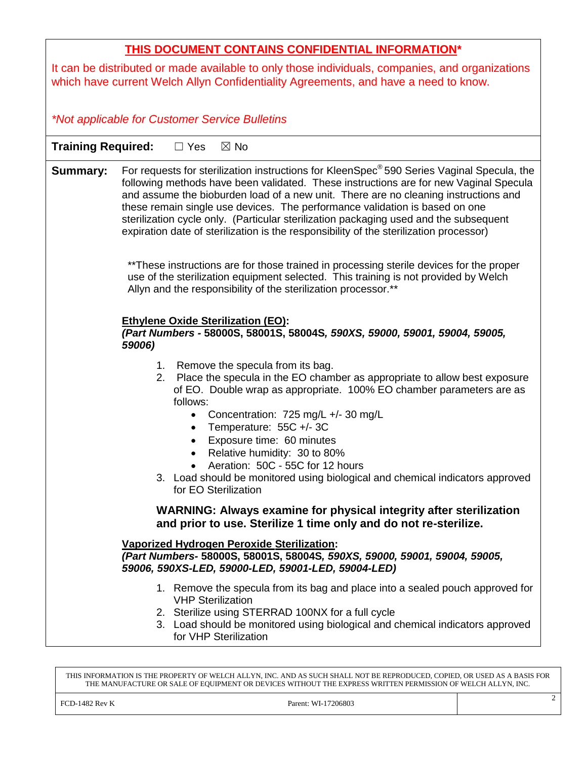|--|

It can be distributed or made available to only those individuals, companies, and organizations which have current Welch Allyn Confidentiality Agreements, and have a need to know.

*\*Not applicable for Customer Service Bulletins*

**Training Required:** □ Yes ⊠ No

**Summary:** For requests for sterilization instructions for KleenSpec<sup>®</sup> 590 Series Vaginal Specula, the following methods have been validated. These instructions are for new Vaginal Specula and assume the bioburden load of a new unit. There are no cleaning instructions and these remain single use devices. The performance validation is based on one sterilization cycle only. (Particular sterilization packaging used and the subsequent expiration date of sterilization is the responsibility of the sterilization processor)

> \*\*These instructions are for those trained in processing sterile devices for the proper use of the sterilization equipment selected. This training is not provided by Welch Allyn and the responsibility of the sterilization processor.\*\*

### **Ethylene Oxide Sterilization (EO):**

### *(Part Numbers -* **58000S, 58001S, 58004S***, 590XS, 59000, 59001, 59004, 59005, 59006)*

- 1. Remove the specula from its bag.
- 2. Place the specula in the EO chamber as appropriate to allow best exposure of EO. Double wrap as appropriate. 100% EO chamber parameters are as follows:
	- Concentration:  $725 \text{ mg/L} +1/-30 \text{ mg/L}$
	- Temperature: 55C +/- 3C
	- Exposure time: 60 minutes
	- Relative humidity: 30 to 80%
	- Aeration: 50C 55C for 12 hours
- 3. Load should be monitored using biological and chemical indicators approved for EO Sterilization

### **WARNING: Always examine for physical integrity after sterilization and prior to use. Sterilize 1 time only and do not re-sterilize.**

#### **Vaporized Hydrogen Peroxide Sterilization:** *(Part Numbers-* **58000S, 58001S, 58004S***, 590XS, 59000, 59001, 59004, 59005, 59006, 590XS-LED, 59000-LED, 59001-LED, 59004-LED)*

- 1. Remove the specula from its bag and place into a sealed pouch approved for VHP Sterilization
- 2. Sterilize using STERRAD 100NX for a full cycle
- 3. Load should be monitored using biological and chemical indicators approved for VHP Sterilization

THIS INFORMATION IS THE PROPERTY OF WELCH ALLYN, INC. AND AS SUCH SHALL NOT BE REPRODUCED, COPIED, OR USED AS A BASIS FOR THE MANUFACTURE OR SALE OF EQUIPMENT OR DEVICES WITHOUT THE EXPRESS WRITTEN PERMISSION OF WELCH ALLYN, INC.

FCD-1482 Rev K Parent: WI-17206803